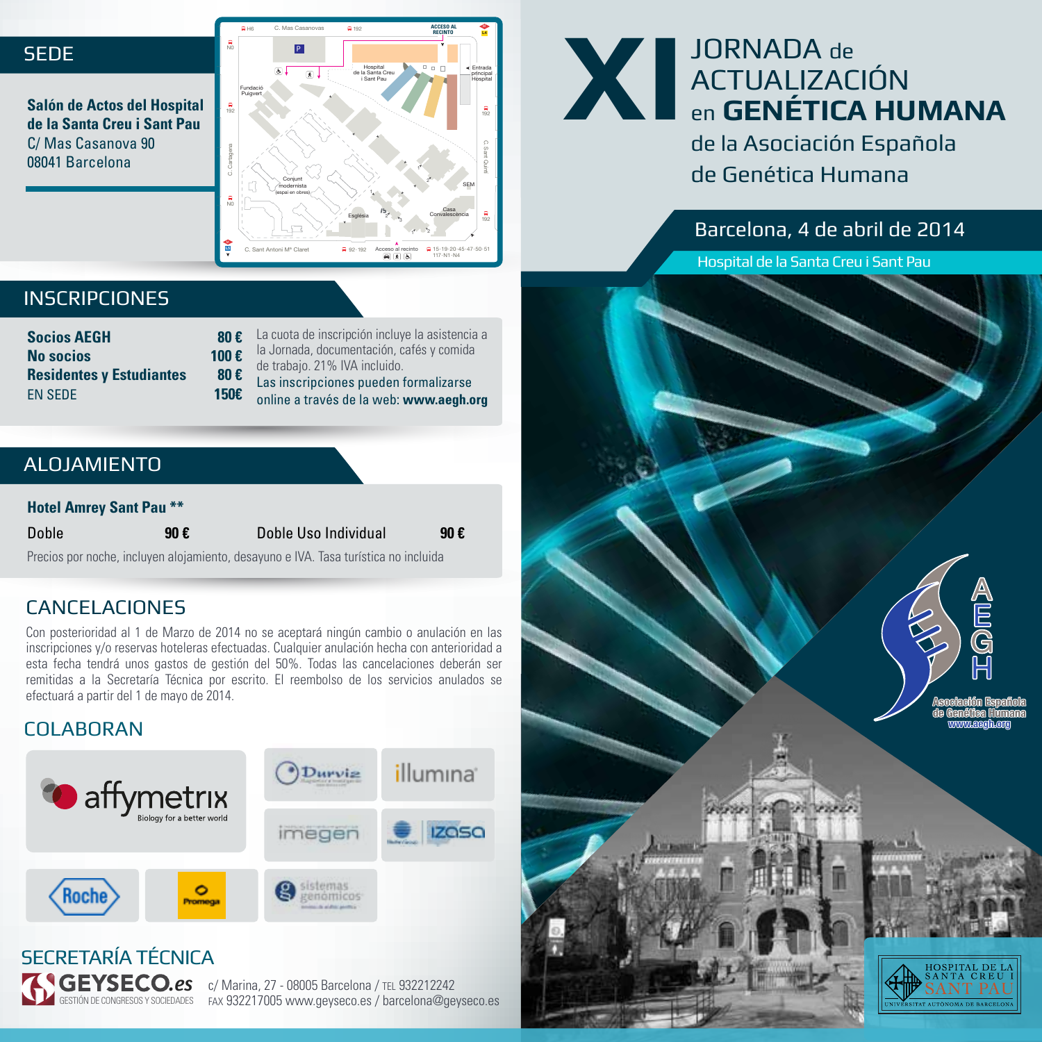**Salón de Actos del Hospital de la Santa Creu i Sant Pau** C/ Mas Casanova 90 08041 Barcelona



# JORNADA de ACTUALIZACIÓN en **GENÉTICA HUMANA**

de la Asociación Española de Genética Humana

### Barcelona, 4 de abril de 2014

Hospital de la Santa Creu i Sant Pau

**Provident Community** 

# **INSCRIPCIONES**

| <b>Socios AEGH</b>              | 80€  |
|---------------------------------|------|
| No socios                       | 100€ |
| <b>Residentes y Estudiantes</b> | 80€  |
| EN SEDE                         | 150€ |

La cuota de inscripción incluye la asistencia a la Jornada, documentación, cafés y comida de trabajo. 21% IVA incluido. Las inscripciones pueden formalizarse online a través de la web: **www.aegh.org**

## **ALOJAMIENTO**

### **Hotel Amrey Sant Pau \*\***

Doble **90 €** Doble Uso Individual **90 €** Precios por noche, incluyen alojamiento, desayuno e IVA. Tasa turística no incluida

# CANCELACIONES

Con posterioridad al 1 de Marzo de 2014 no se aceptará ningún cambio o anulación en las inscripciones y/o reservas hoteleras efectuadas. Cualquier anulación hecha con anterioridad a esta fecha tendrá unos gastos de gestión del 50%. Todas las cancelaciones deberán ser remitidas a la Secretaría Técnica por escrito. El reembolso de los servicios anulados se efectuará a partir del 1 de mayo de 2014.

## **COLABORAN**



c/ Marina, 27 - 08005 Barcelona / TEL 932212242 *.es* GESTIÓN DE CONGRESOS Y SOCIEDADES FAX 932217005 www.geyseco.es / barcelona@geyseco.es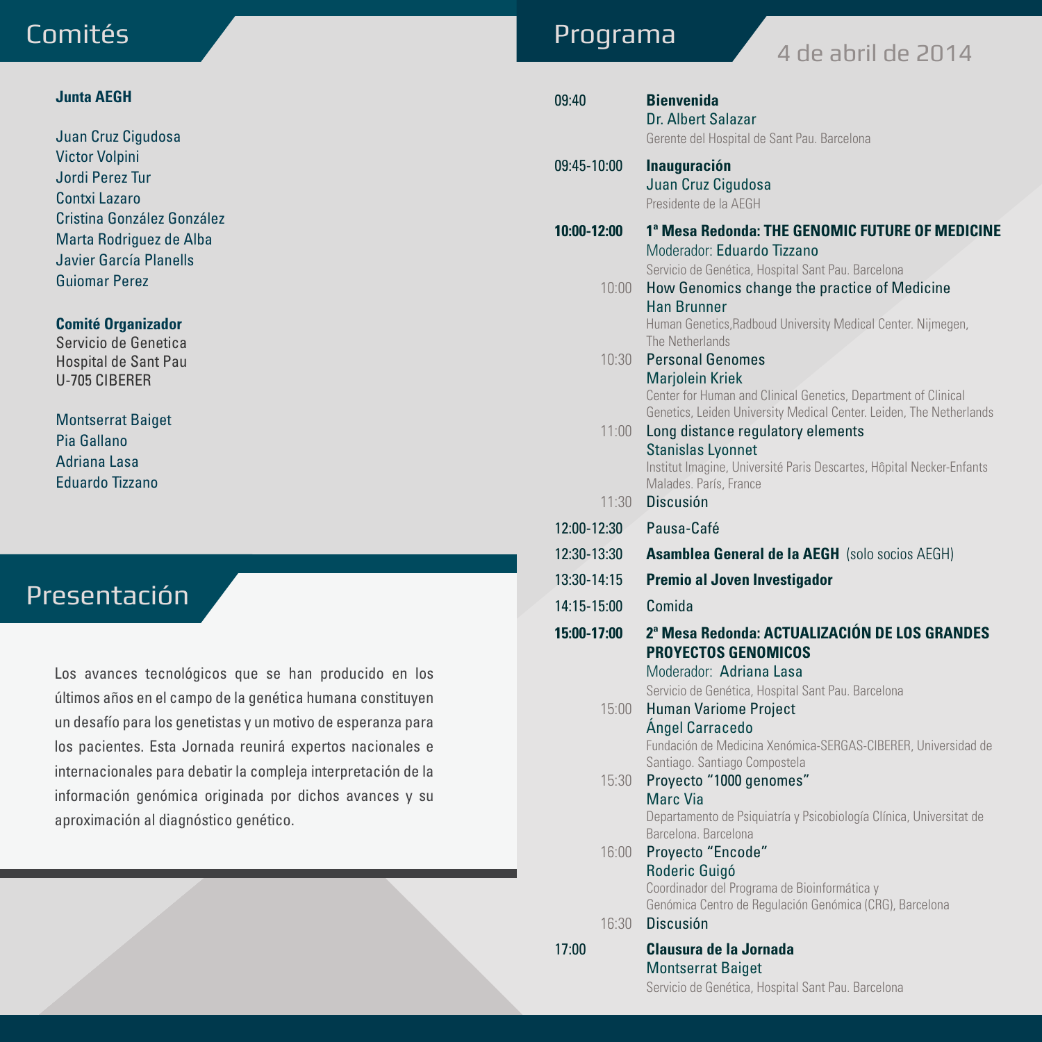### **Junta AEGH**

Juan Cruz Cigudosa Victor Volpini Jordi Perez Tur Contxi Lazaro Cristina González González Marta Rodriguez de Alba Javier García Planells Guiomar Perez

### **Comité Organizador**

Servicio de Genetica Hospital de Sant Pau U-705 CIBERER

Montserrat Baiget Pia Gallano Adriana Lasa Eduardo Tizzano

# Presentación

Los avances tecnológicos que se han producido en los últimos años en el campo de la genética humana constituyen un desafío para los genetistas y un motivo de esperanza para los pacientes. Esta Jornada reunirá expertos nacionales e internacionales para debatir la compleja interpretación de la información genómica originada por dichos avances y su aproximación al diagnóstico genético.

# Comités **Programa** Programa

# 4 de abril de 2014

| 09:40       | <b>Bienvenida</b><br>Dr. Albert Salazar<br>Gerente del Hospital de Sant Pau. Barcelona                                                                                                                       |
|-------------|--------------------------------------------------------------------------------------------------------------------------------------------------------------------------------------------------------------|
| 09:45-10:00 | <b>Inauguración</b><br>Juan Cruz Cigudosa<br>Presidente de la AEGH                                                                                                                                           |
| 10:00-12:00 | 1ª Mesa Redonda: THE GENOMIC FUTURE OF MEDICINE<br>Moderador: Eduardo Tizzano<br>Servicio de Genética, Hospital Sant Pau. Barcelona                                                                          |
| 10:00       | How Genomics change the practice of Medicine<br><b>Han Brunner</b><br>Human Genetics, Radboud University Medical Center. Nijmegen,                                                                           |
| 10:30       | The Netherlands<br><b>Personal Genomes</b><br><b>Marjolein Kriek</b><br>Center for Human and Clinical Genetics, Department of Clinical                                                                       |
| 11:00       | Genetics, Leiden University Medical Center. Leiden, The Netherlands<br>Long distance regulatory elements<br><b>Stanislas Lyonnet</b><br>Institut Imagine, Université Paris Descartes, Hôpital Necker-Enfants |
| 11:30       | Malades, París, France<br><b>Discusión</b>                                                                                                                                                                   |
| 12:00-12:30 | Pausa-Café                                                                                                                                                                                                   |
| 12:30-13:30 | Asamblea General de la AEGH (solo socios AEGH)                                                                                                                                                               |
| 13:30-14:15 | Premio al Joven Investigador                                                                                                                                                                                 |
| 14:15-15:00 | Comida                                                                                                                                                                                                       |
| 15:00-17:00 | 2 <sup>ª</sup> Mesa Redonda: ACTUALIZACIÓN DE LOS GRANDES<br><b>PROYECTOS GENOMICOS</b><br>Moderador: Adriana Lasa<br>Servicio de Genética, Hospital Sant Pau. Barcelona                                     |
| 15:00       | <b>Human Variome Project</b><br>Angel Carracedo<br>Fundación de Medicina Xenómica-SERGAS-CIBERER, Universidad de<br>Santiago. Santiago Compostela                                                            |
| 15:30       | Proyecto "1000 genomes"<br><b>Marc Via</b><br>Departamento de Psiguiatría y Psicobiología Clínica, Universitat de<br>Barcelona. Barcelona                                                                    |
| 16:00       | Proyecto "Encode"<br>Roderic Guigó<br>Coordinador del Programa de Bioinformática y<br>Genómica Centro de Regulación Genómica (CRG), Barcelona                                                                |
| 16:30       | Discusión                                                                                                                                                                                                    |
| 17:00       | Clausura de la Jornada<br><b>Montserrat Baiget</b><br>$1.10.10 \cdot 0.011$                                                                                                                                  |

Servicio de Genética, Hospital Sant Pau. Barcelona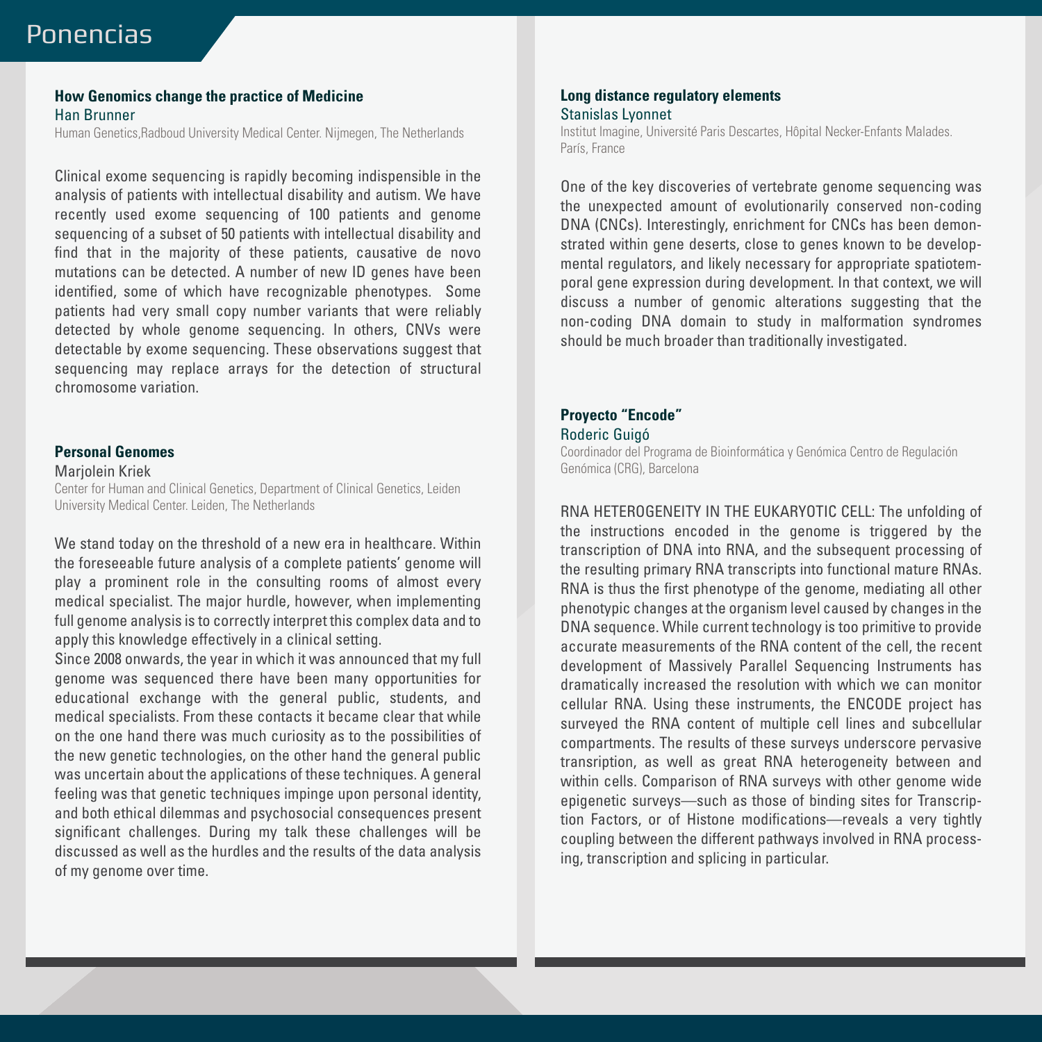### **How Genomics change the practice of Medicine** Han Brunner

Human Genetics,Radboud University Medical Center. Nijmegen, The Netherlands

Clinical exome sequencing is rapidly becoming indispensible in the analysis of patients with intellectual disability and autism. We have recently used exome sequencing of 100 patients and genome sequencing of a subset of 50 patients with intellectual disability and find that in the majority of these patients, causative de novo mutations can be detected. A number of new ID genes have been identified, some of which have recognizable phenotypes. Some patients had very small copy number variants that were reliably detected by whole genome sequencing. In others, CNVs were detectable by exome sequencing. These observations suggest that sequencing may replace arrays for the detection of structural chromosome variation.

### **Personal Genomes**

Marjolein Kriek

Center for Human and Clinical Genetics, Department of Clinical Genetics, Leiden University Medical Center. Leiden, The Netherlands

We stand today on the threshold of a new era in healthcare. Within the foreseeable future analysis of a complete patients' genome will play a prominent role in the consulting rooms of almost every medical specialist. The major hurdle, however, when implementing full genome analysis is to correctly interpret this complex data and to apply this knowledge effectively in a clinical setting.

Since 2008 onwards, the year in which it was announced that my full genome was sequenced there have been many opportunities for educational exchange with the general public, students, and medical specialists. From these contacts it became clear that while on the one hand there was much curiosity as to the possibilities of the new genetic technologies, on the other hand the general public was uncertain about the applications of these techniques. A general feeling was that genetic techniques impinge upon personal identity, and both ethical dilemmas and psychosocial consequences present significant challenges. During my talk these challenges will be discussed as well as the hurdles and the results of the data analysis of my genome over time.

### **Long distance regulatory elements** Stanislas Lyonnet

Institut Imagine, Université Paris Descartes, Hôpital Necker-Enfants Malades. París, France

One of the key discoveries of vertebrate genome sequencing was the unexpected amount of evolutionarily conserved non-coding DNA (CNCs). Interestingly, enrichment for CNCs has been demonstrated within gene deserts, close to genes known to be developmental regulators, and likely necessary for appropriate spatiotemporal gene expression during development. In that context, we will discuss a number of genomic alterations suggesting that the non-coding DNA domain to study in malformation syndromes should be much broader than traditionally investigated.

### **Proyecto "Encode"**

#### Roderic Guigó

Coordinador del Programa de Bioinformática y Genómica Centro de Regulación Genómica (CRG), Barcelona

RNA HETEROGENEITY IN THE EUKARYOTIC CELL: The unfolding of the instructions encoded in the genome is triggered by the transcription of DNA into RNA, and the subsequent processing of the resulting primary RNA transcripts into functional mature RNAs. RNA is thus the first phenotype of the genome, mediating all other phenotypic changes at the organism level caused by changes in the DNA sequence. While current technology is too primitive to provide accurate measurements of the RNA content of the cell, the recent development of Massively Parallel Sequencing Instruments has dramatically increased the resolution with which we can monitor cellular RNA. Using these instruments, the ENCODE project has surveyed the RNA content of multiple cell lines and subcellular compartments. The results of these surveys underscore pervasive transription, as well as great RNA heterogeneity between and within cells. Comparison of RNA surveys with other genome wide epigenetic surveys—such as those of binding sites for Transcription Factors, or of Histone modifications—reveals a very tightly coupling between the different pathways involved in RNA processing, transcription and splicing in particular.